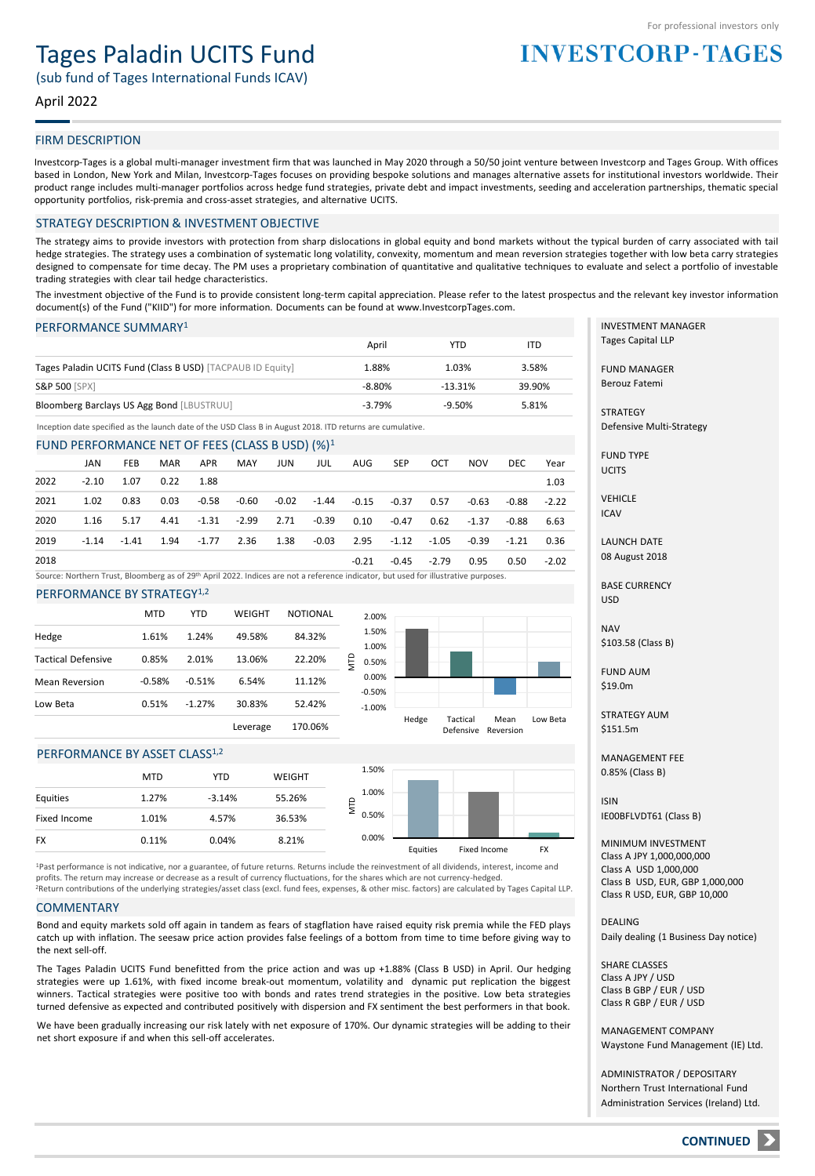# Tages Paladin UCITS Fund

(sub fund of Tages International Funds ICAV)

#### April 2022

#### FIRM DESCRIPTION

Investcorp-Tages is a global multi-manager investment firm that was launched in May 2020 through a 50/50 joint venture between Investcorp and Tages Group. With offices based in London, New York and Milan, Investcorp-Tages focuses on providing bespoke solutions and manages alternative assets for institutional investors worldwide. Their product range includes multi-manager portfolios across hedge fund strategies, private debt and impact investments, seeding and acceleration partnerships, thematic special opportunity portfolios, risk-premia and cross-asset strategies, and alternative UCITS.

#### STRATEGY DESCRIPTION & INVESTMENT OBJECTIVE

The strategy aims to provide investors with protection from sharp dislocations in global equity and bond markets without the typical burden of carry associated with tail hedge strategies. The strategy uses a combination of systematic long volatility, convexity, momentum and mean reversion strategies together with low beta carry strategies designed to compensate for time decay. The PM uses a proprietary combination of quantitative and qualitative techniques to evaluate and select a portfolio of investable trading strategies with clear tail hedge characteristics.

The investment objective of the Fund is to provide consistent long-term capital appreciation. Please refer to the latest prospectus and the relevant key investor information document(s) of the Fund ("KIID") for more information. Documents can be found at www.InvestcorpTages.com.

#### PERFORMANCE SUMMARY<sup>1</sup>

|                                                            | April    | YTD       | ITD    |
|------------------------------------------------------------|----------|-----------|--------|
| Tages Paladin UCITS Fund (Class B USD) [TACPAUB ID Equity] | 1.88%    | 1.03%     | 3.58%  |
| <b>S&amp;P 500 [SPX]</b>                                   | $-8.80%$ | $-13.31%$ | 39.90% |
| Bloomberg Barclays US Agg Bond [LBUSTRUU]                  | $-3.79%$ | $-9.50%$  | 5.81%  |

Inception date specified as the launch date of the USD Class B in August 2018. ITD returns are cumulative.

#### FUND PERFORMANCE NET OF FEES (CLASS B USD)  $(9/1)^1$

|      | JAN     | <b>FEB</b>                                                                          | MAR         | APR | MAY JUN | JUL | AUG   | SEP                                                    | OCT           | <b>NOV</b> | DEC   | Year    |
|------|---------|-------------------------------------------------------------------------------------|-------------|-----|---------|-----|-------|--------------------------------------------------------|---------------|------------|-------|---------|
| 2022 | $-2.10$ | 1.07                                                                                | $0.22$ 1.88 |     |         |     |       |                                                        |               |            |       | 1.03    |
| 2021 | 1.02    | 0.83                                                                                | 0.03        |     |         |     |       | -0.58 -0.60 -0.02 -1.44 -0.15 -0.37 0.57               |               | -0.63      | -0.88 | $-2.22$ |
| 2020 | 1.16    |                                                                                     |             |     |         |     |       | 5.17 4.41 -1.31 -2.99 2.71 -0.39 0.10 -0.47 0.62 -1.37 |               |            | -0.88 | 6.63    |
| 2019 | $-1.14$ | $-1.41$ $1.94$ $-1.77$ $2.36$ $1.38$ $-0.03$ $2.95$ $-1.12$ $-1.05$ $-0.39$ $-1.21$ |             |     |         |     |       |                                                        |               |            |       | 0.36    |
| 2018 |         |                                                                                     |             |     |         |     | -0.21 |                                                        | $-0.45 -2.79$ | 0.95       | 0.50  | $-2.02$ |

Source: Northern Trust, Bloomberg as of 29th April 2022. Indices are not a reference indicator, but used for illustrative purposes.

#### PERFORMANCE BY STRATEGY<sup>1,2</sup>

|                           | <b>MTD</b> | <b>YTD</b> | WEIGHT   | <b>NOTIONAL</b> |            |
|---------------------------|------------|------------|----------|-----------------|------------|
| Hedge                     | 1.61%      | 1.24%      | 49.58%   | 84.32%          |            |
| <b>Tactical Defensive</b> | 0.85%      | 2.01%      | 13.06%   | 22.20%          | Ę          |
| <b>Mean Reversion</b>     | $-0.58%$   | $-0.51%$   | 6.54%    | 11.12%          |            |
| Low Beta                  | 0.51%      | $-1.27%$   | 30.83%   | 52.42%          | $ ($<br>÷. |
|                           |            |            | Leverage | 170.06%         |            |



#### PERFORMANCE BY ASSET CLASS<sup>1,2</sup>

|              | <b>MTD</b> | <b>YTD</b> | WEIGHT | 1.50%      |          |              |           |
|--------------|------------|------------|--------|------------|----------|--------------|-----------|
| Equities     | 1.27%      | $-3.14%$   | 55.26% | 1.00%<br>≏ |          |              |           |
| Fixed Income | 1.01%      | 4.57%      | 36.53% | 0.50%<br>⋍ |          |              |           |
| <b>FX</b>    | 0.11%      | 0.04%      | 8.21%  | 0.00%      | Equities | Fixed Income | <b>FX</b> |

<sup>2</sup>Return contributions of the underlying strategies/asset class (excl. fund fees, expenses, & other misc. factors) are calculated by Tages Capital LLP. <sup>1</sup>Past performance is not indicative, nor a guarantee, of future returns. Returns include the reinvestment of all dividends, interest, income and profits. The return may increase or decrease as a result of currency fluctuations, for the shares which are not currency-hedged.

#### **COMMENTARY**

Bond and equity markets sold off again in tandem as fears of stagflation have raised equity risk premia while the FED plays catch up with inflation. The seesaw price action provides false feelings of a bottom from time to time before giving way to the next sell-off.

The Tages Paladin UCITS Fund benefitted from the price action and was up +1.88% (Class B USD) in April. Our hedging strategies were up 1.61%, with fixed income break-out momentum, volatility and dynamic put replication the biggest winners. Tactical strategies were positive too with bonds and rates trend strategies in the positive. Low beta strategies turned defensive as expected and contributed positively with dispersion and FX sentiment the best performers in that book.

We have been gradually increasing our risk lately with net exposure of 170%. Our dynamic strategies will be adding to their net short exposure if and when this sell-off accelerates.

INVESTMENT MANAGER Tages Capital LLP

**INVESTCORP-TAGES** 

FUND MANAGER Berouz Fatemi

**STRATEGY** Defensive Multi-Strategy

FUND TYPE **UCITS** 

VEHICLE ICAV

LAUNCH DATE 08 August 2018

BASE CURRENCY USD

NAV \$103.58 (Class B)

FUND AUM \$19.0m

STRATEGY AUM \$151.5m

MANAGEMENT FEE 0.85% (Class B)

ISIN IE00BFLVDT61 (Class B)

MINIMUM INVESTMENT Class A JPY 1,000,000,000 Class A USD 1,000,000 Class B USD, EUR, GBP 1,000,000 Class R USD, EUR, GBP 10,000

DEALING Daily dealing (1 Business Day notice)

SHARE CLASSES Class A JPY / USD Class B GBP / EUR / USD Class R GBP / EUR / USD

MANAGEMENT COMPANY Waystone Fund Management (IE) Ltd.

ADMINISTRATOR / DEPOSITARY Northern Trust International Fund Administration Services (Ireland) Ltd.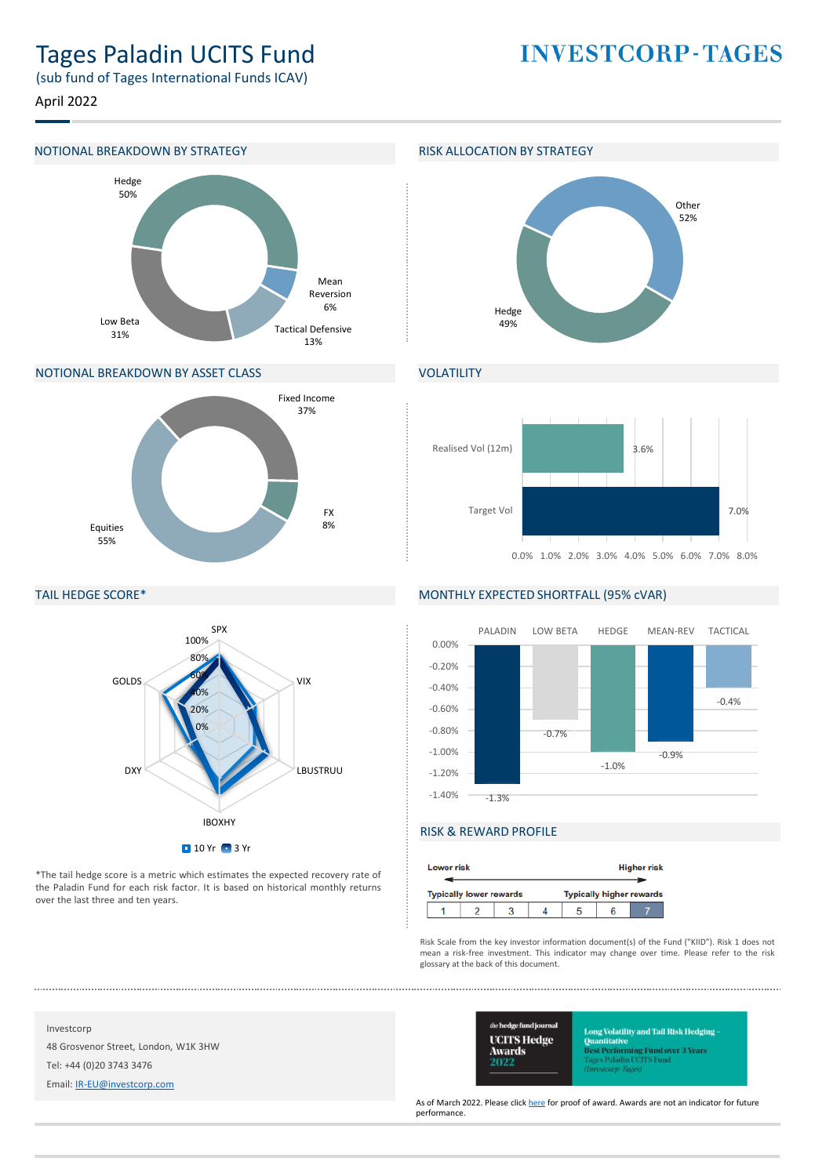# Tages Paladin UCITS Fund

(sub fund of Tages International Funds ICAV)

April 2022

#### NOTIONAL BREAKDOWN BY STRATEGY **RISK ALLOCATION BY STRATEGY**



#### NOTIONAL BREAKDOWN BY ASSET CLASS



#### TAIL HEDGE SCORE\*



\*The tail hedge score is a metric which estimates the expected recovery rate of the Paladin Fund for each risk factor. It is based on historical monthly returns over the last three and ten years.

## **INVESTCORP-TAGES**



#### VOLATILITY



#### MONTHLY EXPECTED SHORTFALL (95% cVAR)



### RISK & REWARD PROFILE

| <b>Lower risk</b> |                                |  | <b>Higher risk</b>              |  |  |  |  |
|-------------------|--------------------------------|--|---------------------------------|--|--|--|--|
|                   | <b>Typically lower rewards</b> |  | <b>Typically higher rewards</b> |  |  |  |  |
|                   |                                |  |                                 |  |  |  |  |

Risk Scale from the key investor information document(s) of the Fund ("KIID"). Risk 1 does not mean a risk-free investment. This indicator may change over time. Please refer to the risk glossary at the back of this document.

Investcorp

48 Grosvenor Street, London, W1K 3HW

Tel: +44 (0)20 3743 3476

Email: [IR-EU@investcorp.com](mailto:IR-EU@investcorp.com)



ong Volatility and Tail Risk Hedging **Ouantitative** l<mark>est Performing Fund over 3 Years</mark><br>ages Paladin UCFFS Fund tearn-Thoms

As of March 2022. Please click [here](https://protect-eu.mimecast.com/s/bc6pCywVGiPjYoFM7FMT) for proof of award. Awards are not an indicator for future performance.